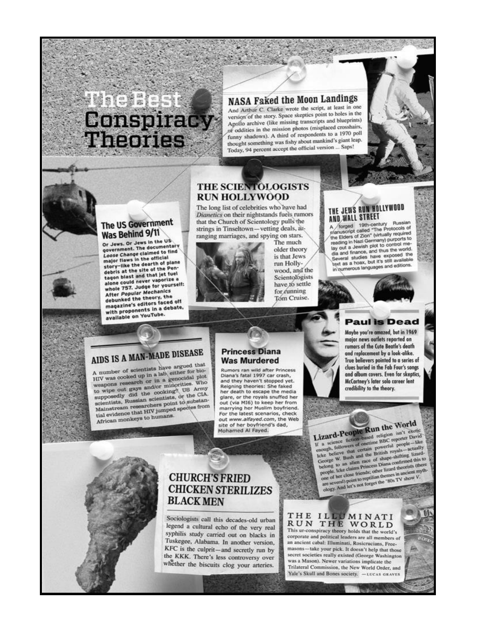# MaleMal Conspiracy **Theories**

### **NASA Faked the Moon Landings**

And Arthur C. Clarke wrote the script, at least in one version of the story. Space skeptics point to holes in the Apollo archive (like missing transcripts and blueprints) of oddities in the mission photos (misplaced crosshairs, funny shadows). A third of respondents to a 1970 poll thought something was fishy about mankind's giant leap. Today, 94 percent accept the official version ... Saps!

### The US Government Was Behind 9/11

Or Jews. Or Jews in the US government. The documentary Loose Change claimed to find major flaws in the official story-like the dearth of plane debris at the site of the Pentagon blast and that jet fuel alone could never vaporize a whole 757. Judge for yourself: After Popular Mechanics<br>debunked the theory, the magazine's editors faced off with proponents in a debate, available on YouTube.

### THE SCIENTOLOGISTS **RUN HOLLYWOOD**

The long list of celebrities who have had Dianetics on their nightstands fuels rumors that the Church of Scientology pulls the strings in Tinseltown-vetting deals, arranging marriages, and spying on stars.

The much older theory is that Jews run Hollywood, and the Scientologists have to settle for *cunning* Tom Cruise.

### THE JEWS RUN HOLLYWOOD **AND WALL STREET**

A forged 19th-century Russian<br>pianuscript called "The Protocols of<br>the Elders of Zion" (virtually required reading in Nazi Germany) purports to<br>lay out a Jewish plot to control media and finance, and thus the world. Several studies have exposed the text as a hoax, but it's still available in numerous languages and editions.

## **Paul is Dead**

Maybe you're amazed, but in 1969 major news outlets reported on rumors of the Cute Beatle's death and replacement by a look-alike. True believers pointed to a series of clues buried in the Fab Four's songs and album covers. Even for skeptics, McCartney's later solo career lent credibility to the theory.

Lizard-People Run the World If a science fiction-based religion isn't exotic<br>enough followers of onetime BBC reporter David enough, tomoses or onething BBC reporter Daily<br>Icke believe that certain powerful people-hike<br>George W. Bush and the British royals-actually belong to an alien race of shape-shifting lizardpeople. Icke claims Princess Diana confirmed this to one of her close friends; other lizard theorists (there one or ner case income, once many incorner inseries in accent myth-<br>are several) point to reptilian themes in ancient myth-<br>ology. And let's not forget the '80s TV show V.

THE ILLUMINATI

**RUN THE WORLD** 

This ur-conspiracy theory holds that the world's

an ancient cabal: Illuminati, Rosicrucians, Free-

was a Mason). Newer variations implicate the

corporate and political leaders are all members of

masons-take your pick. It doesn't help that those secret societies really existed (George Washington

Trilateral Commission, the New World Order, and Yale's Skull and Bones society. - LUCAS GRAVES

## **AIDS IS A MAN-MADE DISEASE**

A number of scientists have argued that HIV was cooked up in a lab, either for bioweapons research or in a genocidal plot to wipe out gays and/or minorities. Who supposedly did the cooking? US Army scientists, Russian scientists, or the CIA. Mainstream researchers point to substantial evidence that HIV jumped species from African monkeys to humans

#### **Princess Diana Was Murdered** Rumors ran wild after Princess

Diana's fatal 1997 car crash. and they haven't stopped yet. Reigning theories: She faked her death to escape the media glare, or the royals snuffed her out (via MI6) to keep her from marrying her Muslim boyfriend. For the latest scenarios, check out www.alfayed.com, the Web site of her boyfriend's dad, Mohamed Al Fayed.



### **CHURCH'S FRIED CHICKEN STERILIZES BLACK MEN**

Sociologists call this decades-old urban legend a cultural echo of the very real syphilis study carried out on blacks in Tuskegee, Alabama. In another version, KFC is the culprit-and secretly run by the KKK. There's less controversy over whether the biscuits clog your arteries.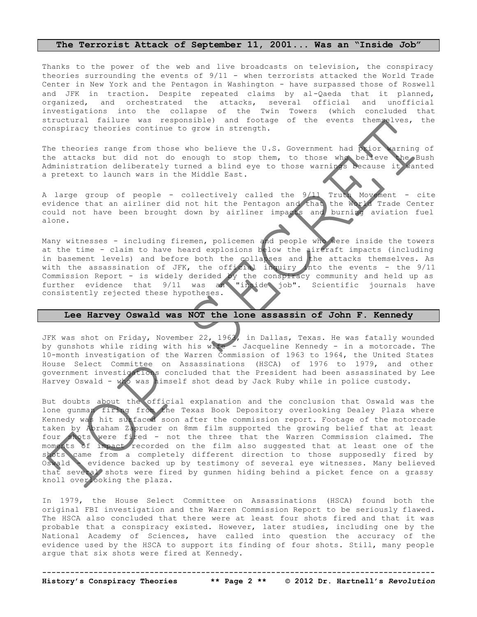### **The Terrorist Attack of September 11, 2001... Was an "Inside Job"**

Thanks to the power of the web and live broadcasts on television, the conspiracy theories surrounding the events of 9/11 - when terrorists attacked the World Trade Center in New York and the Pentagon in Washington - have surpassed those of Roswell and JFK in traction. Despite repeated claims by al-Qaeda that it planned, organized, and orchestrated the attacks, several official and unofficial investigations into the collapse of the Twin Towers (which concluded that structural failure was responsible) and footage of the events themselves, the conspiracy theories continue to grow in strength.

The theories range from those who believe the U.S. Government had prior warning of the attacks but did not do enough to stop them, to those who believe the Bush Administration deliberately turned a blind eye to those warnings because it wanted a pretext to launch wars in the Middle East.

A large group of people - collectively called the 9/11 Truth Movement - cite evidence that an airliner did not hit the Pentagon and that the World Trade Center could not have been brought down by airliner impacts and burning aviation fuel alone.

Many witnesses - including firemen, policemen and people who were inside the towers at the time - claim to have heard explosions below the aircraft impacts (including in basement levels) and before both the collapses and the attacks themselves. As with the assassination of JFK, the official inquiry into the events - the  $9/11$ Commission Report - is widely derided by the conspiracy community and held up as further evidence that 9/11 was an "inside job". Scientific journals have consistently rejected these hypotheses.

#### **Lee Harvey Oswald was NOT the lone assassin of John F. Kennedy**

JFK was shot on Friday, November 22, 1963, in Dallas, Texas. He was fatally wounded by gunshots while riding with his wife - Jacqueline Kennedy - in a motorcade. The 10-month investigation of the Warren Commission of 1963 to 1964, the United States House Select Committee on Assassinations (HSCA) of 1976 to 1979, and other government investigations concluded that the President had been assassinated by Lee Harvey Oswald - who was himself shot dead by Jack Ruby while in police custody.

But doubts about the official explanation and the conclusion that Oswald was the lone gunman firing from the Texas Book Depository overlooking Dealey Plaza where Kennedy was hit surfaced soon after the commission report. Footage of the motorcade taken by Abraham Zapruder on 8mm film supported the growing belief that at least four shots were fired - not the three that the Warren Commission claimed. The moments of impact recorded on the film also suggested that at least one of the shots came from a completely different direction to those supposedly fired by Oswald evidence backed up by testimony of several eye witnesses. Many believed that several shots were fired by gunmen hiding behind a picket fence on a grassy knoll overlooking the plaza.

In 1979, the House Select Committee on Assassinations (HSCA) found both the original FBI investigation and the Warren Commission Report to be seriously flawed. The HSCA also concluded that there were at least four shots fired and that it was probable that a conspiracy existed. However, later studies, including one by the National Academy of Sciences, have called into question the accuracy of the evidence used by the HSCA to support its finding of four shots. Still, many people argue that six shots were fired at Kennedy.

**------------------------------------------------------------------------------------ History's Conspiracy Theories \*\* Page 2 \*\* © 2012 Dr. Hartnell's** *Revolution*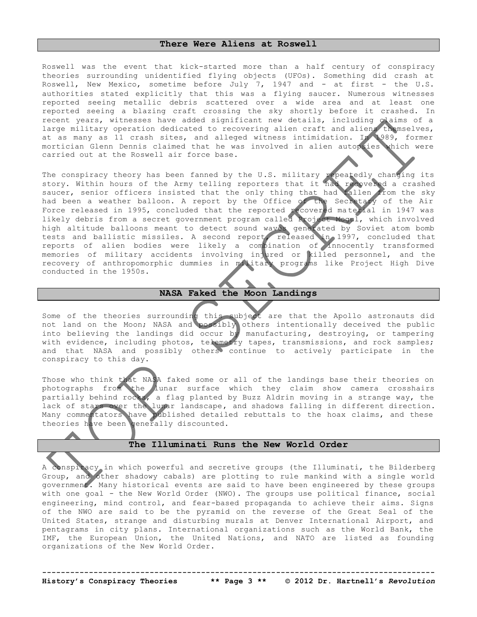#### **There Were Aliens at Roswell**

Roswell was the event that kick-started more than a half century of conspiracy theories surrounding unidentified flying objects (UFOs). Something did crash at Roswell, New Mexico, sometime before July 7, 1947 and - at first - the U.S. authorities stated explicitly that this was a flying saucer. Numerous witnesses reported seeing metallic debris scattered over a wide area and at least one reported seeing a blazing craft crossing the sky shortly before it crashed. In recent years, witnesses have added significant new details, including claims of a large military operation dedicated to recovering alien craft and aliens themselves, at as many as 11 crash sites, and alleged witness intimidation. In 1989, former mortician Glenn Dennis claimed that he was involved in alien autopsies which were carried out at the Roswell air force base.

The conspiracy theory has been fanned by the U.S. military repeatedly changing its story. Within hours of the Army telling reporters that it had recovered a crashed saucer, senior officers insisted that the only thing that had fallen from the sky had been a weather balloon. A report by the Office of the Secretary of the Air Force released in 1995, concluded that the reported recovered material in 1947 was likely debris from a secret government program called Project Mogul, which involved high altitude balloons meant to detect sound waves generated by Soviet atom bomb tests and ballistic missiles. A second report, released in 1997, concluded that reports of alien bodies were likely a combination of innocently transformed memories of military accidents involving injured or killed personnel, and the recovery of anthropomorphic dummies in military programs like Project High Dive conducted in the 1950s.

#### **NASA Faked the Moon Landings**

Some of the theories surrounding this subject are that the Apollo astronauts did not land on the Moon; NASA and possibly others intentionally deceived the public into believing the landings did occur by manufacturing, destroying, or tampering with evidence, including photos, telemetry tapes, transmissions, and rock samples; and that NASA and possibly others continue to actively participate in the conspiracy to this day.

Those who think that NASA faked some or all of the landings base their theories on photographs from the lunar surface which they claim show camera crosshairs partially behind rocks, a flag planted by Buzz Aldrin moving in a strange way, the lack of stars over the lunar landscape, and shadows falling in different direction. Many commentators have published detailed rebuttals to the hoax claims, and these theories have been generally discounted.

#### **The Illuminati Runs the New World Order**

A conspiracy in which powerful and secretive groups (the Illuminati, t he Bilderberg Group, and other shadowy cabals) are plotting to rule mankind with a single world government. Many historical events are said to have been engineered by these groups with one goal - the New World Order (NWO). The groups use political finance, social engineering, mind control, and fear-based propaganda to achieve their aims. Signs of the NWO are said to be the pyramid on the reverse of the Great Seal of the United States, strange and disturbing murals at Denver International Airport, and pentagrams in city plans. International organizations such as the World Bank, the IMF, the European Union, the United Nations, and NATO are listed as founding organizations of the New World Order.

**------------------------------------------------------------------------------------**

**History's Conspiracy Theories \*\* Page 3 \*\* © 2012 Dr. Hartnell's** *Revolution*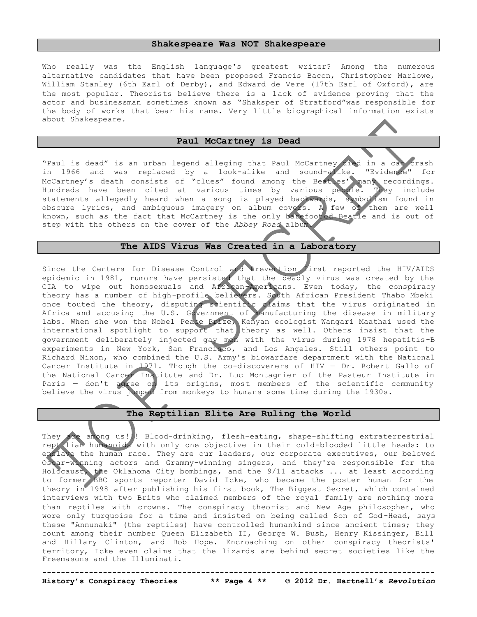#### **Shakespeare Was NOT Shakespeare**

Who really was the English language's greatest writer? Among the numerous alternative candidates that have been proposed Francis Bacon, Christopher Marlowe, William Stanley (6th Earl of Derby), and Edward de Vere (17th Earl of Oxford), are the most popular. Theorists believe there is a lack of evidence proving that the actor and businessman sometimes known as "Shaksper of Stratford"was responsible for the body of works that bear his name. Very little biographical information exists about Shakespeare.

#### **Paul McCartney is Dead**

"Paul is dead" is an urban legend alleging that Paul McCartney died in a car crash in 1966 and was replaced by a look-alike and sound-alike. "Evidence" for McCartney's death consists of "clues" found among the Beatles' many recordings. Hundreds have been cited at various times by various people. They include statements allegedly heard when a song is played backwards, symbolism found in obscure lyrics, and ambiguous imagery on album covers. A few of them are well known, such as the fact that McCartney is the only barefooted Beatle and is out of step with the others on the cover of the *Abbey Road* album.

#### **The AIDS Virus Was Created in a Laboratory**

Since the Centers for Disease Control and Prevention first reported the HIV/AIDS epidemic in 1981, rumors have persisted that the deadly virus was created by the CIA to wipe out homosexuals and African-Americans. Even today, the conspiracy theory has a number of high-profile believers. South African President Thabo Mbeki once touted the theory, disputing scientific claims that the virus originated in Africa and accusing the U.S. Government of manufacturing the disease in military labs. When she won the Nobel Peace Prize, Kenyan ecologist Wangari Maathai used the international spotlight to support that theory as well. Others insist that the government deliberately injected gay men with the virus during 1978 hepatitis-B experiments in New York, San Francisco, and Los Angeles. Still others point to Richard Nixon, who combined the U.S. Army's biowarfare department with the National Cancer Institute in 1971. Though the co-discoverers of HIV - Dr. Robert Gallo of the National Cancer Institute and Dr. Luc Montagnier of the Pasteur Institute in Paris - don't agree on its origins, most members of the scientific community believe the virus jumped from monkeys to humans some time during the 1930s.

#### **The Reptilian Elite Are Ruling the World**

They are among us!<sup>[]</sup>! Blood-drinking, flesh-eating, shape-shifting extraterrestrial reptilian humanoids with only one objective in their cold-blooded little heads: to enslave the human race. They are our leaders, our corporate executives, our beloved Oscar-winning actors and Grammy-winning singers, and they're responsible for the Holocaust, the Oklahoma City bombings, and the 9/11 attacks ... at least according to former BBC sports reporter David Icke, who became the poster human for the theory in 1998 after publishing his first book, The Biggest Secret, which contained interviews with two Brits who claimed members of the royal family are nothing more than reptiles with crowns. The conspiracy theorist and New Age philosopher, who wore only turquoise for a time and insisted on being called Son of God -Head, says these "Annunaki" (the reptiles) have controlled humankind since ancient times; they count among their number Queen Elizabeth II, George W. Bush, Henry Kissinger, Bill and Hillary Clinton, and Bob Hope. Encroaching on other conspiracy theorists' territory, Icke even claims that the lizards are behind secret societies like the Freemasons and the Illuminati.

#### **------------------------------------------------------------------------------------ History's Conspiracy Theories \*\* Page 4 \*\* © 2012 Dr. Hartnell's** *Revolution*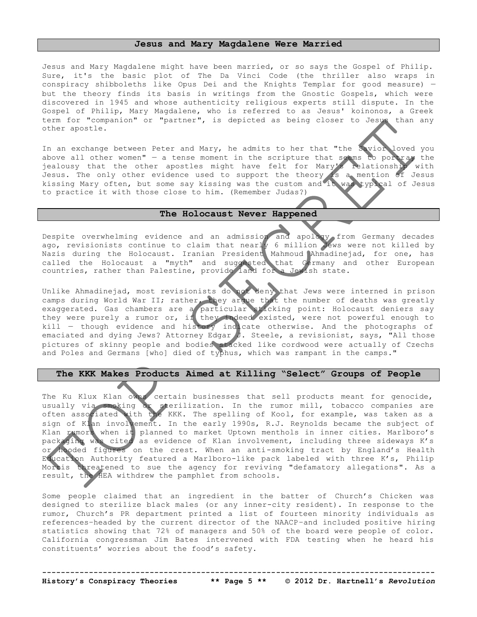#### **Jesus and Mary Magdalene Were Married**

Jesus and Mary Magdalene might have been married, or so says the Gospel of Philip. Sure, it's the basic plot of The Da Vinci Code (the thriller also wraps in conspiracy shibboleths like Opus Dei and the Knights Templar for good measure) but the theory finds its basis in writings from the Gnostic Gospels, which were discovered in 1945 and whose authenticity religious experts still dispute. In the Gospel of Philip, Mary Magdalene, who is referred to as Jesus' koinonos, a Greek term for "companion" or "partner", is depicted as being closer to Jesus than any other apostle.

In an exchange between Peter and Mary, he admits to her that "the Savior loved you above all other women"  $-$  a tense moment in the scripture that seems to portray the jealousy that the other apostles might have felt for Mary's relationship with Jesus. The only other evidence used to support the theory is a mention of Jesus kissing Mary often, but some say kissing was the custom and it was typical of Jesus to practice it with those close to him. (Remember Judas?)

#### **The Holocaust Never Happened**

Despite overwhelming evidence and an admission and apology from Germany decades ago, revisionists continue to claim that nearly 6 million Jews were not killed by Nazis during the Holocaust. Iranian President Mahmoud Ahmadinejad, for one, has called the Holocaust a "myth" and suggested that Germany and other European countries, rather than Palestine, provide land for a Jewish state.

Unlike Ahmadinejad, most revisionists do not deny that Jews were interned in prison camps during World War II; rather, they argue that the number of deaths was greatly exaggerated. Gas chambers are a particular sticking point: Holocaust deniers say they were purely a rumor or, if they indeed existed, were not powerful enough to kill — though evidence and history indicate otherwise. And the photographs of emaciated and dying Jews? Attorney Edgar J. Steele, a revisionist, says, "All those pictures of skinny people and bodies stacked like cordwood were actually of Czechs and Poles and Germans [who] died of typhus, which was rampant in the camps."

#### **The KKK Makes Products Aimed at Killing "Select" Groups of People**

The Ku Klux Klan owns certain businesses that sell products meant for genocide, usually via smoking or sterilization. In the rumor mill, tobacco companies are often associated with the KKK. The spelling of Kool, for example, was taken as a sign of Klan involvement. In the early 1990s, R.J. Reynolds became the subject of Klan rumors when it planned to market Uptown menthols in inner cities. Marlboro's packaging was cited as evidence of Klan involvement, including three sideways K's or hooded figures on the crest. When an anti-smoking tract by England's Health Education Authority featured a Marlboro-like pack labeled with three K's, Philip Morris threatened to sue the agency for reviving "defamatory allegations". As a result, the HEA withdrew the pamphlet from schools.

Some people claimed that an ingredient in the batter of Church's Chicken was designed to sterilize black males (or any inner-city resident). In response to the rumor, Church's PR department printed a list of fourteen minority individuals as references–headed by the current director of the NAACP–and included positive hiring statistics showing that 72% of managers and 50% of the board were people of color. California congressman Jim Bates intervened with FDA testing when he heard his constituents' worries about the food's safety.

**------------------------------------------------------------------------------------ History's Conspiracy Theories \*\* Page 5 \*\* © 2012 Dr. Hartnell's** *Revolution*